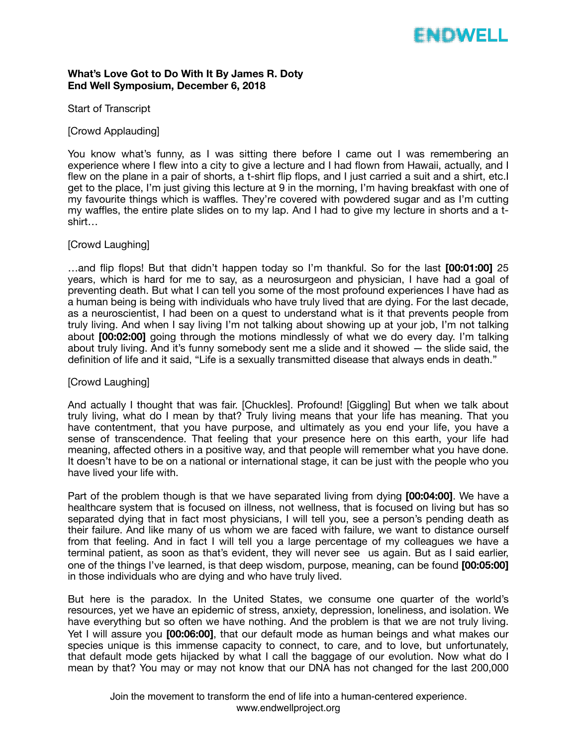# WOWELL

## **What's Love Got to Do With It By James R. Doty End Well Symposium, December 6, 2018**

#### Start of Transcript

### [Crowd Applauding]

You know what's funny, as I was sitting there before I came out I was remembering an experience where I flew into a city to give a lecture and I had flown from Hawaii, actually, and I flew on the plane in a pair of shorts, a t-shirt flip flops, and I just carried a suit and a shirt, etc.I get to the place, I'm just giving this lecture at 9 in the morning, I'm having breakfast with one of my favourite things which is waffles. They're covered with powdered sugar and as I'm cutting my waffles, the entire plate slides on to my lap. And I had to give my lecture in shorts and a tshirt…

### [Crowd Laughing]

…and flip flops! But that didn't happen today so I'm thankful. So for the last **[00:01:00]** 25 years, which is hard for me to say, as a neurosurgeon and physician, I have had a goal of preventing death. But what I can tell you some of the most profound experiences I have had as a human being is being with individuals who have truly lived that are dying. For the last decade, as a neuroscientist, I had been on a quest to understand what is it that prevents people from truly living. And when I say living I'm not talking about showing up at your job, I'm not talking about **[00:02:00]** going through the motions mindlessly of what we do every day. I'm talking about truly living. And it's funny somebody sent me a slide and it showed — the slide said, the definition of life and it said, "Life is a sexually transmitted disease that always ends in death."

#### [Crowd Laughing]

And actually I thought that was fair. [Chuckles]. Profound! [Giggling] But when we talk about truly living, what do I mean by that? Truly living means that your life has meaning. That you have contentment, that you have purpose, and ultimately as you end your life, you have a sense of transcendence. That feeling that your presence here on this earth, your life had meaning, affected others in a positive way, and that people will remember what you have done. It doesn't have to be on a national or international stage, it can be just with the people who you have lived your life with.

Part of the problem though is that we have separated living from dying **[00:04:00]**. We have a healthcare system that is focused on illness, not wellness, that is focused on living but has so separated dying that in fact most physicians, I will tell you, see a person's pending death as their failure. And like many of us whom we are faced with failure, we want to distance ourself from that feeling. And in fact I will tell you a large percentage of my colleagues we have a terminal patient, as soon as that's evident, they will never see us again. But as I said earlier, one of the things I've learned, is that deep wisdom, purpose, meaning, can be found **[00:05:00]**  in those individuals who are dying and who have truly lived.

But here is the paradox. In the United States, we consume one quarter of the world's resources, yet we have an epidemic of stress, anxiety, depression, loneliness, and isolation. We have everything but so often we have nothing. And the problem is that we are not truly living. Yet I will assure you **[00:06:00]**, that our default mode as human beings and what makes our species unique is this immense capacity to connect, to care, and to love, but unfortunately, that default mode gets hijacked by what I call the baggage of our evolution. Now what do I mean by that? You may or may not know that our DNA has not changed for the last 200,000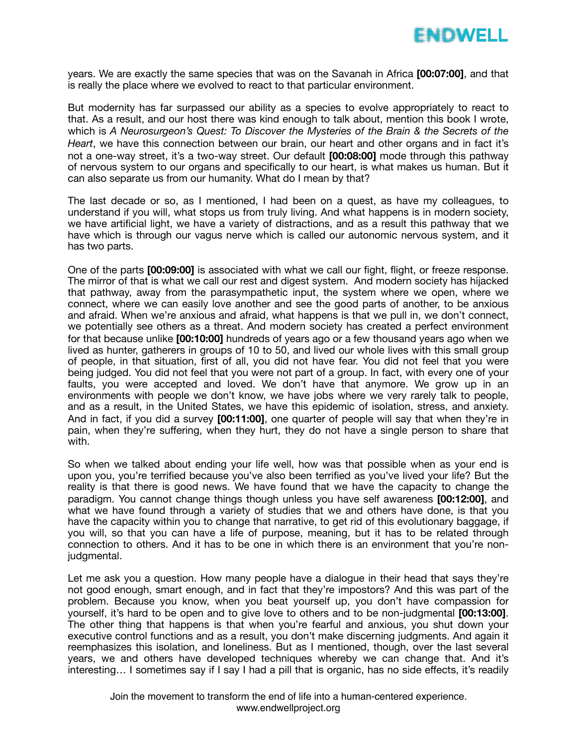

years. We are exactly the same species that was on the Savanah in Africa **[00:07:00]**, and that is really the place where we evolved to react to that particular environment.

But modernity has far surpassed our ability as a species to evolve appropriately to react to that. As a result, and our host there was kind enough to talk about, mention this book I wrote, which is *A Neurosurgeon's Quest: To Discover the Mysteries of the Brain & the Secrets of the Heart*, we have this connection between our brain, our heart and other organs and in fact it's not a one-way street, it's a two-way street. Our default **[00:08:00]** mode through this pathway of nervous system to our organs and specifically to our heart, is what makes us human. But it can also separate us from our humanity. What do I mean by that?

The last decade or so, as I mentioned, I had been on a quest, as have my colleagues, to understand if you will, what stops us from truly living. And what happens is in modern society, we have artificial light, we have a variety of distractions, and as a result this pathway that we have which is through our vagus nerve which is called our autonomic nervous system, and it has two parts.

One of the parts **[00:09:00]** is associated with what we call our fight, flight, or freeze response. The mirror of that is what we call our rest and digest system. And modern society has hijacked that pathway, away from the parasympathetic input, the system where we open, where we connect, where we can easily love another and see the good parts of another, to be anxious and afraid. When we're anxious and afraid, what happens is that we pull in, we don't connect, we potentially see others as a threat. And modern society has created a perfect environment for that because unlike **[00:10:00]** hundreds of years ago or a few thousand years ago when we lived as hunter, gatherers in groups of 10 to 50, and lived our whole lives with this small group of people, in that situation, first of all, you did not have fear. You did not feel that you were being judged. You did not feel that you were not part of a group. In fact, with every one of your faults, you were accepted and loved. We don't have that anymore. We grow up in an environments with people we don't know, we have jobs where we very rarely talk to people, and as a result, in the United States, we have this epidemic of isolation, stress, and anxiety. And in fact, if you did a survey **[00:11:00]**, one quarter of people will say that when they're in pain, when they're suffering, when they hurt, they do not have a single person to share that with.

So when we talked about ending your life well, how was that possible when as your end is upon you, you're terrified because you've also been terrified as you've lived your life? But the reality is that there is good news. We have found that we have the capacity to change the paradigm. You cannot change things though unless you have self awareness **[00:12:00]**, and what we have found through a variety of studies that we and others have done, is that you have the capacity within you to change that narrative, to get rid of this evolutionary baggage, if you will, so that you can have a life of purpose, meaning, but it has to be related through connection to others. And it has to be one in which there is an environment that you're nonjudgmental.

Let me ask you a question. How many people have a dialogue in their head that says they're not good enough, smart enough, and in fact that they're impostors? And this was part of the problem. Because you know, when you beat yourself up, you don't have compassion for yourself, it's hard to be open and to give love to others and to be non-judgmental **[00:13:00]**. The other thing that happens is that when you're fearful and anxious, you shut down your executive control functions and as a result, you don't make discerning judgments. And again it reemphasizes this isolation, and loneliness. But as I mentioned, though, over the last several years, we and others have developed techniques whereby we can change that. And it's interesting... I sometimes say if I say I had a pill that is organic, has no side effects, it's readily